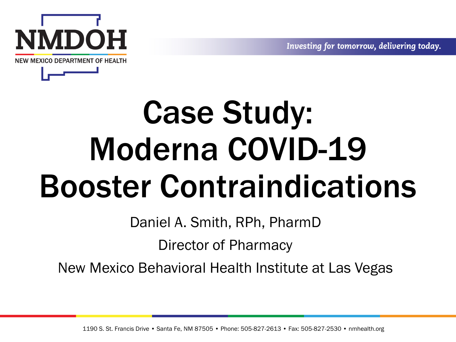Investing for tomorrow, delivering today.



# Case Study: Moderna COVID-19 Booster Contraindications

Daniel A. Smith, RPh, PharmD

Director of Pharmacy

New Mexico Behavioral Health Institute at Las Vegas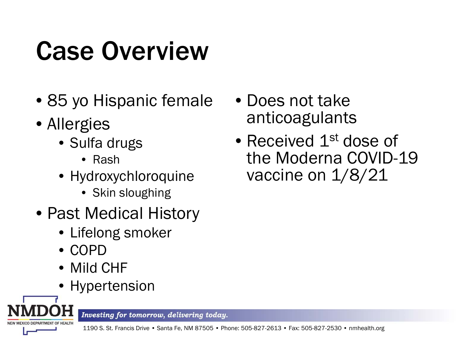# Case Overview

- 85 yo Hispanic female
- Allergies
	- Sulfa drugs
		- Rash
	- Hydroxychloroquine
		- Skin sloughing
- Past Medical History
	- Lifelong smoker
	- COPD
	- Mild CHF
	- Hypertension



- Does not take anticoagulants
- Received 1<sup>st</sup> dose of the Moderna COVID-19 vaccine on  $1/8/21$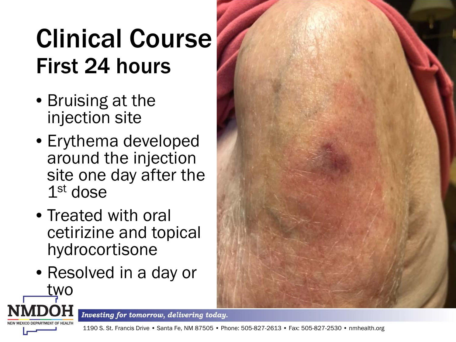## Clinical Course First 24 hours

- Bruising at the injection site
- Erythema developed around the injection site one day after the 1<sup>st</sup> dose
- Treated with oral cetirizine and topical hydrocortisone
- Resolved in a day or

two



Investing for tomorrow, delivering today.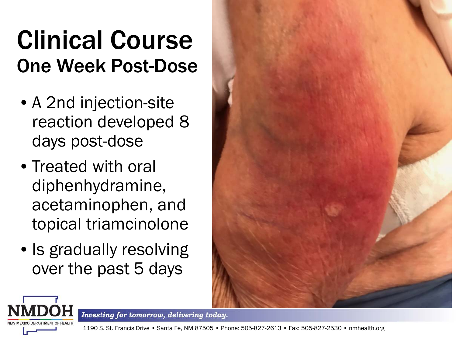#### Clinical Course One Week Post-Dose

- A 2nd injection-site reaction developed 8 days post-dose
- Treated with oral diphenhydramine, acetaminophen, and topical triamcinolone
- Is gradually resolving over the past 5 days





Investing for tomorrow, delivering today.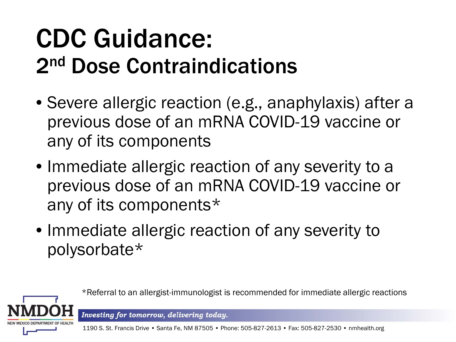## CDC Guidance: 2nd Dose Contraindications

- Severe allergic reaction (e.g., anaphylaxis) after a previous dose of an mRNA COVID-19 vaccine or any of its components
- Immediate allergic reaction of any severity to a previous dose of an mRNA COVID-19 vaccine or any of its components\*
- Immediate allergic reaction of any severity to polysorbate\*

\*Referral to an allergist-immunologist is recommended for immediate allergic reactions

Investing for tomorrow, delivering today.